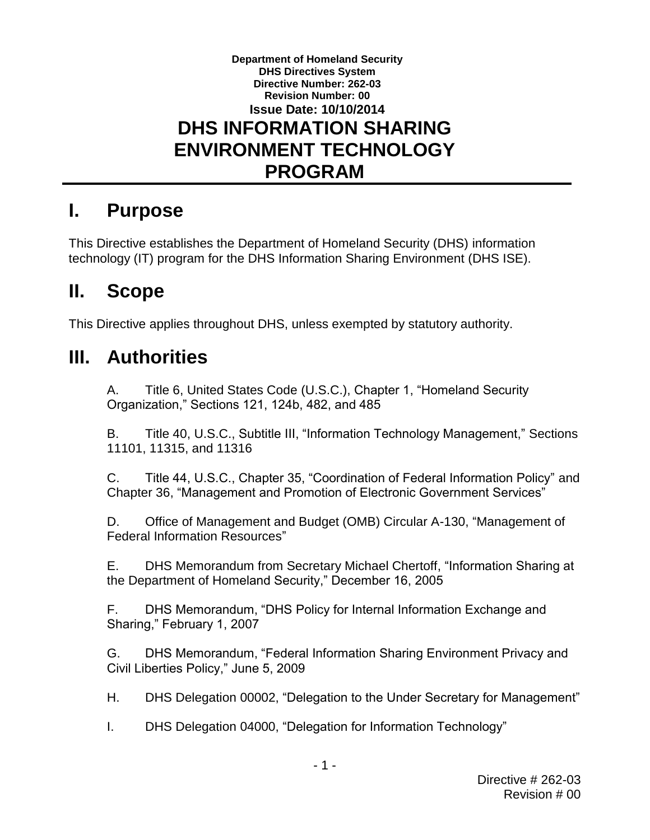#### **Department of Homeland Security DHS Directives System Directive Number: 262-03 Revision Number: 00 Issue Date: 10/10/2014 DHS INFORMATION SHARING ENVIRONMENT TECHNOLOGY PROGRAM**

## **I. Purpose**

This Directive establishes the Department of Homeland Security (DHS) information technology (IT) program for the DHS Information Sharing Environment (DHS ISE).

### **II. Scope**

This Directive applies throughout DHS, unless exempted by statutory authority.

# **III. Authorities**

A. Title 6, United States Code (U.S.C.), Chapter 1, "Homeland Security Organization," Sections 121, 124b, 482, and 485

B. Title 40, U.S.C., Subtitle III, "Information Technology Management," Sections 11101, 11315, and 11316

C. Title 44, U.S.C., Chapter 35, "Coordination of Federal Information Policy" and Chapter 36, "Management and Promotion of Electronic Government Services"

D. Office of Management and Budget (OMB) Circular A-130, "Management of Federal Information Resources"

E. DHS Memorandum from Secretary Michael Chertoff, "Information Sharing at the Department of Homeland Security," December 16, 2005

F. DHS Memorandum, "DHS Policy for Internal Information Exchange and Sharing," February 1, 2007

G. DHS Memorandum, "Federal Information Sharing Environment Privacy and Civil Liberties Policy," June 5, 2009

H. DHS Delegation 00002, "Delegation to the Under Secretary for Management"

I. DHS Delegation 04000, "Delegation for Information Technology"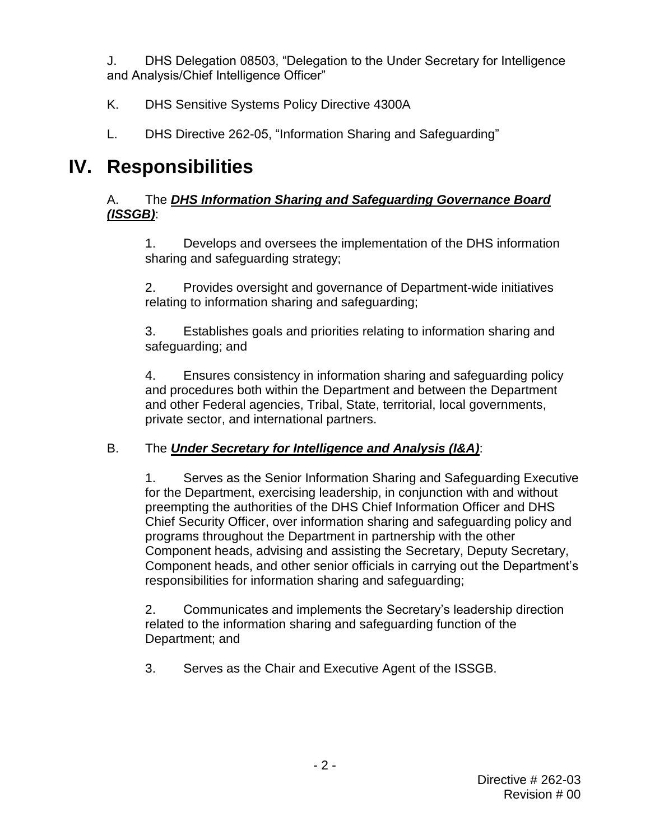J. DHS Delegation 08503, "Delegation to the Under Secretary for Intelligence and Analysis/Chief Intelligence Officer"

- K. DHS Sensitive Systems Policy Directive 4300A
- L. DHS Directive 262-05, "Information Sharing and Safeguarding"

## **IV. Responsibilities**

#### A. The *DHS Information Sharing and Safeguarding Governance Board (ISSGB)*:

1. Develops and oversees the implementation of the DHS information sharing and safeguarding strategy;

2. Provides oversight and governance of Department-wide initiatives relating to information sharing and safeguarding;

3. Establishes goals and priorities relating to information sharing and safeguarding; and

4. Ensures consistency in information sharing and safeguarding policy and procedures both within the Department and between the Department and other Federal agencies, Tribal, State, territorial, local governments, private sector, and international partners.

### B. The *Under Secretary for Intelligence and Analysis (I&A)*:

1. Serves as the Senior Information Sharing and Safeguarding Executive for the Department, exercising leadership, in conjunction with and without preempting the authorities of the DHS Chief Information Officer and DHS Chief Security Officer, over information sharing and safeguarding policy and programs throughout the Department in partnership with the other Component heads, advising and assisting the Secretary, Deputy Secretary, Component heads, and other senior officials in carrying out the Department's responsibilities for information sharing and safeguarding;

2. Communicates and implements the Secretary's leadership direction related to the information sharing and safeguarding function of the Department; and

3. Serves as the Chair and Executive Agent of the ISSGB.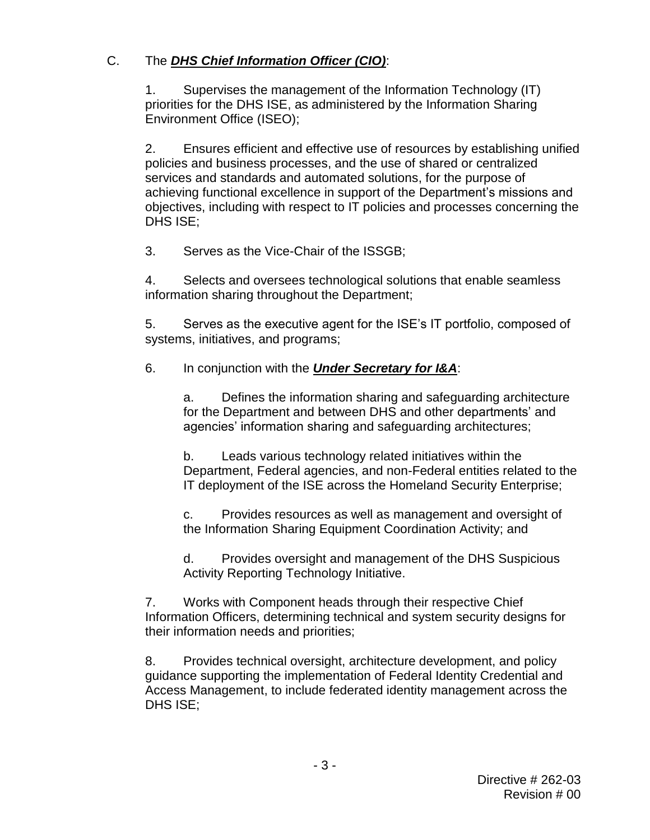#### C. The *DHS Chief Information Officer (CIO)*:

1. Supervises the management of the Information Technology (IT) priorities for the DHS ISE, as administered by the Information Sharing Environment Office (ISEO);

2. Ensures efficient and effective use of resources by establishing unified policies and business processes, and the use of shared or centralized services and standards and automated solutions, for the purpose of achieving functional excellence in support of the Department's missions and objectives, including with respect to IT policies and processes concerning the DHS ISE;

3. Serves as the Vice-Chair of the ISSGB;

4. Selects and oversees technological solutions that enable seamless information sharing throughout the Department;

5. Serves as the executive agent for the ISE's IT portfolio, composed of systems, initiatives, and programs;

### 6. In conjunction with the *Under Secretary for I&A*:

a. Defines the information sharing and safeguarding architecture for the Department and between DHS and other departments' and agencies' information sharing and safeguarding architectures;

b. Leads various technology related initiatives within the Department, Federal agencies, and non-Federal entities related to the IT deployment of the ISE across the Homeland Security Enterprise;

c. Provides resources as well as management and oversight of the Information Sharing Equipment Coordination Activity; and

d. Provides oversight and management of the DHS Suspicious Activity Reporting Technology Initiative.

7. Works with Component heads through their respective Chief Information Officers, determining technical and system security designs for their information needs and priorities;

8. Provides technical oversight, architecture development, and policy guidance supporting the implementation of Federal Identity Credential and Access Management, to include federated identity management across the DHS ISE;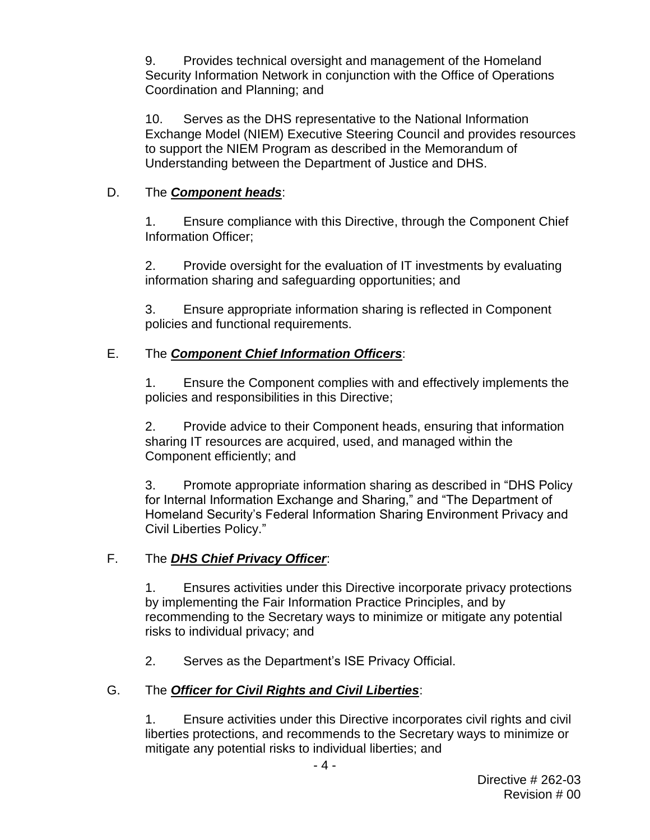9. Provides technical oversight and management of the Homeland Security Information Network in conjunction with the Office of Operations Coordination and Planning; and

10. Serves as the DHS representative to the National Information Exchange Model (NIEM) Executive Steering Council and provides resources to support the NIEM Program as described in the Memorandum of Understanding between the Department of Justice and DHS.

#### D. The *Component heads*:

1. Ensure compliance with this Directive, through the Component Chief Information Officer;

2. Provide oversight for the evaluation of IT investments by evaluating information sharing and safeguarding opportunities; and

3. Ensure appropriate information sharing is reflected in Component policies and functional requirements.

#### E. The *Component Chief Information Officers*:

1. Ensure the Component complies with and effectively implements the policies and responsibilities in this Directive;

2. Provide advice to their Component heads, ensuring that information sharing IT resources are acquired, used, and managed within the Component efficiently; and

3. Promote appropriate information sharing as described in "DHS Policy for Internal Information Exchange and Sharing," and "The Department of Homeland Security's Federal Information Sharing Environment Privacy and Civil Liberties Policy."

#### F. The *DHS Chief Privacy Officer*:

1. Ensures activities under this Directive incorporate privacy protections by implementing the Fair Information Practice Principles, and by recommending to the Secretary ways to minimize or mitigate any potential risks to individual privacy; and

2. Serves as the Department's ISE Privacy Official.

#### G. The *Officer for Civil Rights and Civil Liberties*:

1. Ensure activities under this Directive incorporates civil rights and civil liberties protections, and recommends to the Secretary ways to minimize or mitigate any potential risks to individual liberties; and